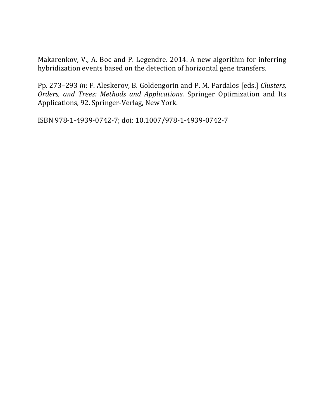Makarenkov, V., A. Boc and P. Legendre. 2014. A new algorithm for inferring hybridization events based on the detection of horizontal gene transfers.

Pp. 273-293 in: F. Aleskerov, B. Goldengorin and P. M. Pardalos [eds.] *Clusters, Orders, and Trees: Methods and Applications*. Springer Optimization and Its Applications, 92. Springer-Verlag, New York.

ISBN 978-1-4939-0742-7; doi: 10.1007/978-1-4939-0742-7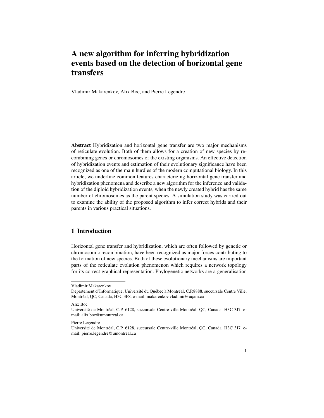# A new algorithm for inferring hybridization events based on the detection of horizontal gene transfers

Vladimir Makarenkov, Alix Boc, and Pierre Legendre

Abstract Hybridization and horizontal gene transfer are two major mechanisms of reticulate evolution. Both of them allows for a creation of new species by recombining genes or chromosomes of the existing organisms. An effective detection of hybridization events and estimation of their evolutionary significance have been recognized as one of the main hurdles of the modern computational biology. In this article, we underline common features characterizing horizontal gene transfer and hybridization phenomena and describe a new algorithm for the inference and validation of the diploid hybridization events, when the newly created hybrid has the same number of chromosomes as the parent species. A simulation study was carried out to examine the ability of the proposed algorithm to infer correct hybrids and their parents in various practical situations.

# 1 Introduction

Horizontal gene transfer and hybridization, which are often followed by genetic or chromosomic recombination, have been recognized as major forces contributing to the formation of new species. Both of these evolutionary mechanisms are important parts of the reticulate evolution phenomenon which requires a network topology for its correct graphical representation. Phylogenetic networks are a generalisation

Alix Boc

Vladimir Makarenkov

Département d'Informatique, Université du Québec à Montréal, C.P.8888, succursale Centre Ville, Montréal, QC, Canada, H3C 3P8, e-mail: makarenkov.vladimir@uqam.ca

Université de Montréal, C.P. 6128, succursale Centre-ville Montréal, QC, Canada, H3C 3J7, email: alix.boc@umontreal.ca

Pierre Legendre

Université de Montréal, C.P. 6128, succursale Centre-ville Montréal, QC, Canada, H3C 3J7, email: pierre.legendre@umontreal.ca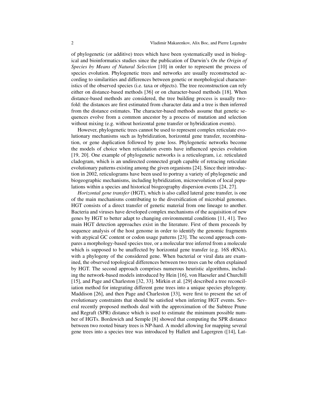of phylogenetic (or additive) trees which have been systematically used in biological and bioinformatics studies since the publication of Darwin's *On the Origin of Species by Means of Natural Selection* [10] in order to represent the process of species evolution. Phylogenetic trees and networks are usually reconstructed according to similarities and differences between genetic or morphological characteristics of the observed species (i.e. taxa or objects). The tree reconstruction can rely either on distance-based methods [36] or on character-based methods [18]. When distance-based methods are considered, the tree building process is usually twofold: the distances are first estimated from character data and a tree is then inferred from the distance estimates. The character-based methods assume that genetic sequences evolve from a common ancestor by a process of mutation and selection without mixing (e.g. without horizontal gene transfer or hybridization events).

However, phylogenetic trees cannot be used to represent complex reticulate evolutionary mechanisms such as hybridization, horizontal gene transfer, recombination, or gene duplication followed by gene loss. Phylogenetic networks become the models of choice when reticulation events have influenced species evolution [19, 20]. One example of phylogenetic networks is a reticulogram, i.e. reticulated cladogram, which is an undirected connected graph capable of retracing reticulate evolutionary patterns existing among the given organisms [24]. Since their introduction in 2002, reticulograms have been used to portray a variety of phylogenetic and biogeographic mechanisms, including hybridization, microevolution of local populations within a species and historical biogeography dispersion events [24, 27].

*Horizontal gene transfer* (HGT), which is also called lateral gene transfer, is one of the main mechanisms contributing to the diversification of microbial genomes. HGT consists of a direct transfer of genetic material from one lineage to another. Bacteria and viruses have developed complex mechanisms of the acquisition of new genes by HGT to better adapt to changing environmental conditions [11, 41]. Two main HGT detection approaches exist in the literature. First of them proceeds by sequence analysis of the host genome in order to identify the genomic fragments with atypical GC content or codon usage patterns [23]. The second approach compares a morphology-based species tree, or a molecular tree inferred from a molecule which is supposed to be unaffected by horizontal gene transfer (e.g. 16S rRNA), with a phylogeny of the considered gene. When bacterial or viral data are examined, the observed topological differences between two trees can be often explained by HGT. The second approach comprises numerous heuristic algorithms, including the network-based models introduced by Hein [16], von Haeseler and Churchill [15], and Page and Charleston [32, 33]. Mirkin et al. [29] described a tree reconciliation method for integrating different gene trees into a unique species phylogeny. Maddison [26], and then Page and Charleston [33], were first to present the set of evolutionary constraints that should be satisfied when inferring HGT events. Several recently proposed methods deal with the approximation of the Subtree Prune and Regraft (SPR) distance which is used to estimate the minimum possible number of HGTs. Bordewich and Semple [8] showed that computing the SPR distance between two rooted binary trees is NP-hard. A model allowing for mapping several gene trees into a species tree was introduced by Hallett and Lagergren ([14], Lat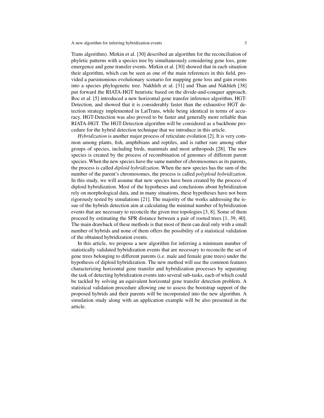Trans algorithm). Mirkin et al. [30] described an algorithm for the reconciliation of phyletic patterns with a species tree by simultaneously considering gene loss, gene emergence and gene transfer events. Mirkin et al. [30] showed that in each situation their algorithm, which can be seen as one of the main references in this field, provided a parsimonious evolutionary scenario for mapping gene loss and gain events into a species phylogenetic tree. Nakhleh et al. [31] and Than and Nakhleh [38] put forward the RIATA-HGT heuristic based on the divide-and-conquer approach. Boc et al. [5] introduced a new horizontal gene transfer inference algorithm, HGT-Detection, and showed that it is considerably faster than the exhaustive HGT detection strategy implemented in LatTrans, while being identical in terms of accuracy. HGT-Detection was also proved to be faster and generally more reliable than RIATA-HGT. The HGT-Detection algorithm will be considered as a backbone procedure for the hybrid detection technique that we introduce in this article.

*Hybridization* is another major process of reticulate evolution [2]. It is very common among plants, fish, amphibians and reptiles, and is rather rare among other groups of species, including birds, mammals and most arthropods [28]. The new species is created by the process of recombination of genomes of different parent species. When the new species have the same number of chromosomes as its parents, the process is called *diploid hybridization*. When the new species has the sum of the number of the parent's chromosomes, the process is called *polyploid hybridization*. In this study, we will assume that new species have been created by the process of diploid hybridization. Most of the hypotheses and conclusions about hybridization rely on morphological data, and in many situations, these hypotheses have not been rigorously tested by simulations [21]. The majority of the works addressing the issue of the hybrids detection aim at calculating the minimal number of hybridization events that are necessary to reconcile the given tree topologies [3, 8]. Some of them proceed by estimating the SPR distance between a pair of rooted trees [1, 39, 40]. The main drawback of these methods is that most of them can deal only with a small number of hybrids and none of them offers the possibility of a statistical validation of the obtained hybridization events.

In this article, we propose a new algorithm for inferring a minimum number of statistically validated hybridization events that are necessary to reconcile the set of gene trees belonging to different parents (i.e. male and female gene trees) under the hypothesis of diploid hybridization. The new method will use the common features characterizing horizontal gene transfer and hybridization processes by separating the task of detecting hybridization events into several sub-tasks, each of which could be tackled by solving an equivalent horizontal gene transfer detection problem. A statistical validation procedure allowing one to assess the bootstrap support of the proposed hybrids and their parents will be incorporated into the new algorithm. A simulation study along with an application example will be also presented in the article.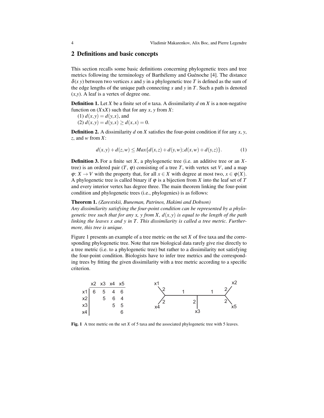## 2 Definitions and basic concepts

This section recalls some basic definitions concerning phylogenetic trees and tree metrics following the terminology of Barthélemy and Guénoche [4]. The distance  $\delta(x, y)$  between two vertices x and y in a phylogenetic tree T is defined as the sum of the edge lengths of the unique path connecting  $x$  and  $y$  in  $T$ . Such a path is denoted (*x*,*y*). A leaf is a vertex of degree one.

Definition 1. Let *X* be a finite set of *n* taxa. A dissimilarity *d* on *X* is a non-negative function on  $(XxX)$  such that for any *x*, *y* from *X*:

 $(1) d(x, y) = d(y, x)$ , and

 $d(x, y) = d(y, x) \ge d(x, x) = 0.$ 

**Definition 2.** A dissimilarity *d* on *X* satisfies the four-point condition if for any *x*, *y*, *z*, and *w* from *X*:

$$
d(x,y) + d(z,w) \le Max\{d(x,z) + d(y,w); d(x,w) + d(y,z)\}.
$$
 (1)

Definition 3. For a finite set *X*, a phylogenetic tree (i.e. an additive tree or an *X*tree) is an ordered pair  $(T, \varphi)$  consisting of a tree T, with vertex set V, and a map  $\varphi: X \to V$  with the property that, for all  $x \in X$  with degree at most two,  $x \in \varphi(X)$ . A phylogenetic tree is called binary if  $\varphi$  is a bijection from *X* into the leaf set of *T* and every interior vertex has degree three. The main theorem linking the four-point condition and phylogenetic trees (i.e., phylogenies) is as follows:

### Theorem 1. *(Zarestskii, Buneman, Patrinos, Hakimi and Dobson)*

*Any dissimilarity satisfying the four-point condition can be represented by a phylogenetic tree such that for any x, y from X, d*(*x*, *y*) *is equal to the length of the path* linking the leaves x and y in T. This dissimilarity is called a tree metric. Further*more, this tree is unique.*

Figure 1 presents an example of a tree metric on the set *X* of five taxa and the corresponding phylogenetic tree. Note that raw biological data rarely give rise directly to a tree metric (i.e. to a phylogenetic tree) but rather to a dissimilarity not satisfying the four-point condition. Biologists have to infer tree metrics and the corresponding trees by fitting the given dissimilarity with a tree metric according to a specific criterion.



Fig. 1 A tree metric on the set *X* of 5 taxa and the associated phylogenetic tree with 5 leaves.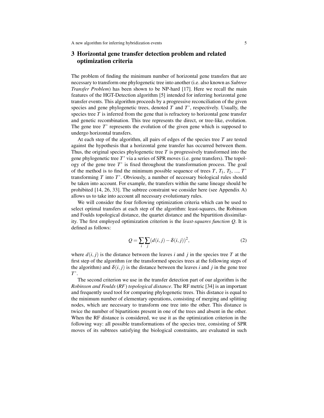# 3 Horizontal gene transfer detection problem and related optimization criteria

The problem of finding the minimum number of horizontal gene transfers that are necessary to transform one phylogenetic tree into another (i.e. also known as *Subtree Transfer Problem*) has been shown to be NP-hard [17]. Here we recall the main features of the HGT-Detection algorithm [5] intended for inferring horizontal gene transfer events. This algorithm proceeds by a progressive reconciliation of the given species and gene phylogenetic trees, denoted *T* and *T*', respectively. Usually, the species tree  $T$  is inferred from the gene that is refractory to horizontal gene transfer and genetic recombination. This tree represents the direct, or tree-like, evolution. The gene tree *T*' represents the evolution of the given gene which is supposed to undergo horizontal transfers.

At each step of the algorithm, all pairs of edges of the species tree *T* are tested against the hypothesis that a horizontal gene transfer has occurred between them. Thus, the original species phylogenetic tree  $T$  is progressively transformed into the gene phylogenetic tree *T*' via a series of SPR moves (i.e. gene transfers). The topology of the gene tree *T*' is fixed throughout the transformation process. The goal of the method is to find the minimum possible sequence of trees  $T$ ,  $T_1$ ,  $T_2$ , ...,  $T'$ transforming *T* into *T*'. Obviously, a number of necessary biological rules should be taken into account. For example, the transfers within the same lineage should be prohibited [14, 26, 33]. The subtree constraint we consider here (see Appendix A) allows us to take into account all necessary evolutionary rules.

We will consider the four following optimization criteria which can be used to select optimal transfers at each step of the algorithm: least-squares, the Robinson and Foulds topological distance, the quartet distance and the bipartition dissimilarity. The first employed optimization criterion is the *least-squares function Q*. It is defined as follows:

$$
Q = \sum_{i} \sum_{j} (d(i, j) - \delta(i, j))^{2},
$$
\n(2)

where  $d(i, j)$  is the distance between the leaves *i* and *j* in the species tree *T* at the first step of the algorithm (or the transformed species trees at the following steps of the algorithm) and  $\delta(i, j)$  is the distance between the leaves *i* and *j* in the gene tree *T*'.

The second criterion we use in the transfer detection part of our algorithm is the *Robinson and Foulds* (*RF*) *topological distance*. The RF metric [34] is an important and frequently used tool for comparing phylogenetic trees. This distance is equal to the minimum number of elementary operations, consisting of merging and splitting nodes, which are necessary to transform one tree into the other. This distance is twice the number of bipartitions present in one of the trees and absent in the other. When the RF distance is considered, we use it as the optimization criterion in the following way: all possible transformations of the species tree, consisting of SPR moves of its subtrees satisfying the biological constraints, are evaluated in such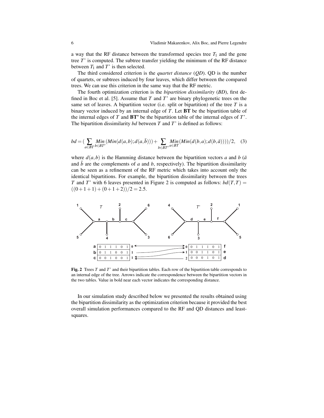a way that the RF distance between the transformed species tree  $T_1$  and the gene tree *T*' is computed. The subtree transfer yielding the minimum of the RF distance between  $T_1$  and  $T'$  is then selected.

The third considered criterion is the *quartet distance* (*QD*). QD is the number of quartets, or subtrees induced by four leaves, which differ between the compared trees. We can use this criterion in the same way that the RF metric.

The fourth optimization criterion is the *bipartition dissimilarity* (*BD*), first defined in Boc et al. [5]. Assume that *T* and *T*' are binary phylogenetic trees on the same set of leaves. A bipartition vector (i.e. split or bipartition) of the tree *T* is a binary vector induced by an internal edge of *T*. Let BT be the bipartition table of the internal edges of *T* and BT' be the bipartition table of the internal edges of *T*'. The bipartition dissimilarity *bd* between *T* and *T*' is defined as follows:

$$
bd = \left(\sum_{a \in BT} Min\left(Min(d(a,b);d(a,\bar{b}))\right) + \sum_{b \in BT'} Min\left(Min(d(b,a);d(b,\bar{a}))\right)\right)/2, \quad (3)
$$

where  $d(a,b)$  is the Hamming distance between the bipartition vectors a and b ( $\bar{a}$ and  $\bar{b}$  are the complements of *a* and *b*, respectively). The bipartition dissimilarity can be seen as a refinement of the RF metric which takes into account only the identical bipartitions. For example, the bipartition dissimilarity between the trees *T* and *T*' with 6 leaves presented in Figure 2 is computed as follows:  $bd(T,T)$  =  $((0+1+1) + (0+1+2))/2 = 2.5.$ 



Fig. 2 Trees *T* and *T*' and their bipartition tables. Each row of the bipartition table corresponds to an internal edge of the tree. Arrows indicate the correspondence between the bipartition vectors in the two tables. Value in bold near each vector indicates the corresponding distance.

In our simulation study described below we presented the results obtained using the bipartition dissimilarity as the optimization criterion because it provided the best overall simulation performances compared to the RF and QD distances and leastsquares.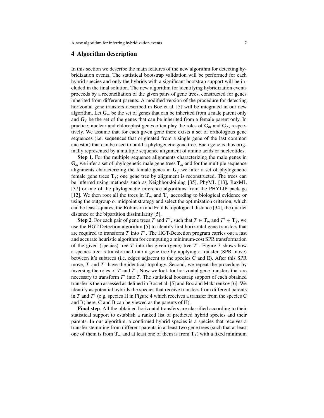### 4 Algorithm description

In this section we describe the main features of the new algorithm for detecting hybridization events. The statistical bootstrap validation will be performed for each hybrid species and only the hybrids with a significant bootstrap support will be included in the final solution. The new algorithm for identifying hybridization events proceeds by a reconciliation of the given pairs of gene trees, constructed for genes inherited from different parents. A modified version of the procedure for detecting horizontal gene transfers described in Boc et al. [5] will be integrated in our new algorithm. Let  $G_m$  be the set of genes that can be inherited from a male parent only and  $G_f$  be the set of the genes that can be inherited from a female parent only. In practice, nuclear and chloroplast genes often play the roles of G*<sup>m</sup>* and G*<sup>f</sup>* , respectively. We assume that for each given gene there exists a set of orthologous gene sequences (i.e. sequences that originated from a single gene of the last common ancestor) that can be used to build a phylogenetic gene tree. Each gene is thus originally represented by a multiple sequence alignment of amino acids or nucleotides.

Step 1. For the multiple sequence alignments characterizing the male genes in  $G_m$  we infer a set of phylogenetic male gene trees  $T_m$  and for the multiple sequence alignments characterizing the female genes in  $G_f$  we infer a set of phylogenetic female gene trees  $T_f$ ; one gene tree by alignment is reconstructed. The trees can be inferred using methods such as Neighbor-Joining [35], PhyML [13], RaxML [37] or one of the phylogenetic inference algorithms from the PHYLIP package [12]. We then root all the trees in  $T_m$  and  $T_f$  according to biological evidence or using the outgroup or midpoint strategy and select the optimization criterion, which can be least-squares, the Robinson and Foulds topological distance [34], the quartet distance or the bipartition dissimilarity [5].

**Step 2.** For each pair of gene trees *T* and *T*', such that  $T \in \mathbf{T}_m$  and  $T' \in \mathbf{T}_f$ , we use the HGT-Detection algorithm [5] to identify first horizontal gene transfers that are required to transform *T* into *T*'. The HGT-Detection program carries out a fast and accurate heuristic algorithm for computing a minimum-cost SPR transformation of the given (species) tree *T* into the given (gene) tree *T*'. Figure 3 shows how a species tree is transformed into a gene tree by applying a transfer (SPR move) between it's subtrees (i.e. edges adjacent to the species C and E). After this SPR move, *T* and *T*' have the identical topology. Second, we repeat the procedure by inversing the roles of *T* and *T*'. Now we look for horizontal gene transfers that are necessary to transform *T*' into *T*. The statistical bootstrap support of each obtained transfer is then assessed as defined in Boc et al. [5] and Boc and Makarenkov [6]. We identify as potential hybrids the species that receive transfers from different parents in *T* and *T*' (e.g. species H in Figure 4 which receives a transfer from the species C and B; here, C and B can be viewed as the parents of H).

Final step. All the obtained horizontal transfers are classified according to their statistical support to establish a ranked list of predicted hybrid species and their parents. In our algorithm, a confirmed hybrid species is a species that receives a transfer stemming from different parents in at least two gene trees (such that at least one of them is from  $T_m$  and at least one of them is from  $T_f$ ) with a fixed minimum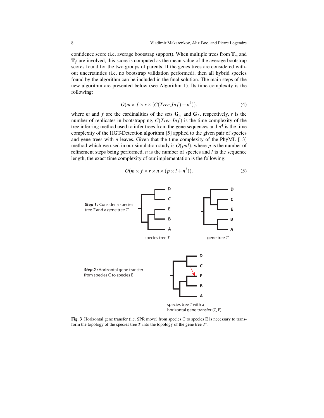confidence score (i.e. average bootstrap support). When multiple trees from  $T_m$  and  $T_f$  are involved, this score is computed as the mean value of the average bootstrap scores found for the two groups of parents. If the genes trees are considered without uncertainties (i.e. no bootstrap validation performed), then all hybrid species found by the algorithm can be included in the final solution. The main steps of the new algorithm are presented below (see Algorithm 1). Its time complexity is the following:

$$
O(m \times f \times r \times (C(Tree\_Inf) + n^4)), \tag{4}
$$

where *m* and *f* are the cardinalities of the sets  $G_m$  and  $G_f$ , respectively, *r* is the number of replicates in bootstrapping, *C*(*Tree In f*) is the time complexity of the tree inferring method used to infer trees from the gene sequences and  $n<sup>4</sup>$  is the time complexity of the HGT-Detection algorithm [5] applied to the given pair of species and gene trees with  $n$  leaves. Given that the time complexity of the PhyML  $[13]$ method which we used in our simulation study is  $O(pnl)$ , where p is the number of refinement steps being performed, *n* is the number of species and *l* is the sequence length, the exact time complexity of our implementation is the following:

$$
O(m \times f \times r \times n \times (p \times l + n^3)).
$$
 (5)



Fig. 3 Horizontal gene transfer (i.e. SPR move) from species C to species E is necessary to transform the topology of the species tree *T* into the topology of the gene tree *T*'.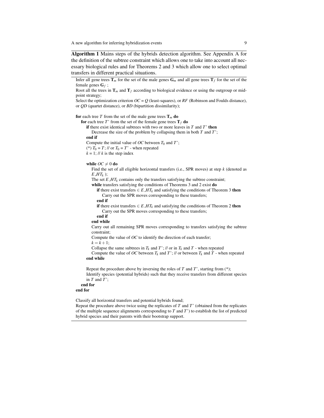Algorithm 1 Mains steps of the hybrids detection algorithm. See Appendix A for the definition of the subtree constraint which allows one to take into account all necessary biological rules and for Theorems 2 and 3 which allow one to select optimal transfers in different practical situations.

Infer all gene trees  $\mathbf{T}_m$  for the set of the male genes  $\mathbf{G}_m$  and all gene trees  $\mathbf{T}_f$  for the set of the female genes G*<sup>f</sup>* ;

Root all the trees in  $T_m$  and  $T_f$  according to biological evidence or using the outgroup or midpoint strategy;

Select the optimization criterion  $OC = Q$  (least-squares), or  $RF$  (Robinson and Foulds distance), or *QD* (quartet distance), or *BD* (bipartition dissimilarity);

#### for each tree *T* from the set of the male gene trees  $T_m$  do

for each tree *T*' from the set of the female gene trees  $T_f$  do

if there exist identical subtrees with two or more leaves in *T* and *T*' then Decrease the size of the problem by collapsing them in both *T* and *T*';

end if

Compute the initial value of  $OC$  between  $T_0$  and  $T$ ;

(\*)  $T_0 = T$ ; // or  $T_0 = T'$  - when repeated

 $k = 1$ ; // *k* is the step index

#### while  $OC \neq 0$  do

Find the set of all eligible horizontal transfers (i.e., SPR moves) at step *k* (denoted as *E HT<sup>k</sup>* );

The set  $E \, H \, T_k$  contains only the transfers satisfying the subtree constraint;

while transfers satisfying the conditions of Theorems 3 and 2 exist do if there exist transfers  $\in E \_HT_k$  and satisfying the conditions of Theorem 3 then

Carry out the SPR moves corresponding to these transfers;

end if

if there exist transfers  $\in E \, H \, T_k$  and satisfying the conditions of Theorem 2 then Carry out the SPR moves corresponding to these transfers;

end if

#### end while

Carry out all remaining SPR moves corresponding to transfers satisfying the subtree constraint;

Compute the value of *OC* to identify the direction of each transfer;  $k = k + 1;$ 

Collapse the same subtrees in  $T_k$  and  $T^*$ ; // or in  $T_k$  and  $T^*$  - when repeated

Compute the value of *OC* between  $T_k$  and  $T^*$ ; // or between  $T_k$  and  $T^*$  - when repeated end while

Repeat the procedure above by inversing the roles of *T* and *T*', starting from (\*); Identify species (potential hybrids) such that they receive transfers from different species in *T* and *T*';

### end for

end for

Classify all horizontal transfers and potential hybrids found;

Repeat the procedure above twice using the replicates of *T* and *T*' (obtained from the replicates of the multiple sequence alignments corresponding to *T* and *T*') to establish the list of predicted hybrid species and their parents with their bootstrap support.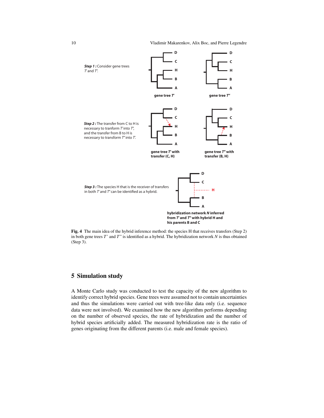

Fig. 4 The main idea of the hybrid inference method: the species H that receives transfers (Step 2) in both gene trees *T*' and *T*" is identified as a hybrid. The hybridization network *N* is thus obtained (Step 3).

# 5 Simulation study

A Monte Carlo study was conducted to test the capacity of the new algorithm to identify correct hybrid species. Gene trees were assumed not to contain uncertainties and thus the simulations were carried out with tree-like data only (i.e. sequence data were not involved). We examined how the new algorithm performs depending on the number of observed species, the rate of hybridization and the number of hybrid species artificially added. The measured hybridization rate is the ratio of genes originating from the different parents (i.e. male and female species).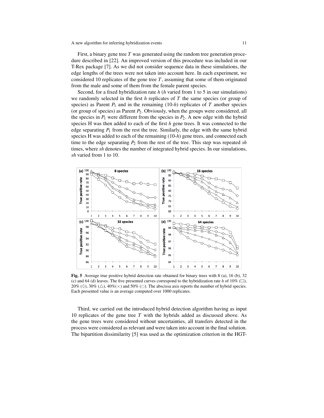First, a binary gene tree *T* was generated using the random tree generation procedure described in [22]. An improved version of this procedure was included in our T-Rex package [7]. As we did not consider sequence data in these simulations, the edge lengths of the trees were not taken into account here. In each experiment, we considered 10 replicates of the gene tree *T*, assuming that some of them originated from the male and some of them from the female parent species.

Second, for a fixed hybridization rate *h* (*h* varied from 1 to 5 in our simulations) we randomly selected in the first *h* replicates of *T* the same species (or group of species) as Parent  $P_1$  and in the remaining  $(10-h)$  replicates of  $T$  another species (or group of species) as Parent *P*2. Obviously, when the groups were considered, all the species in  $P_1$  were different from the species in  $P_2$ . A new edge with the hybrid species H was then added to each of the first *h* gene trees. It was connected to the edge separating  $P_1$  from the rest the tree. Similarly, the edge with the same hybrid species H was added to each of the remaining (10-*h*) gene trees, and connected each time to the edge separating  $P_2$  from the rest of the tree. This step was repeated *sh* times, where *sh* denotes the number of integrated hybrid species. In our simulations, *sh* varied from 1 to 10.



Fig. 5 Average true positive hybrid detection rate obtained for binary trees with 8 (a), 16 (b), 32 (c) and 64 (d) leaves. The five presented curves correspond to the hybridization rate *h* of 10% ( $\square$ ),  $20\%$  ( $\Diamond$ ),  $30\%$  ( $\triangle$ ),  $40\%$ ( $\times$ ) and  $50\%$  ( $\circ$ ). The abscissa axis reports the number of hybrid species. Each presented value is an average computed over 1000 replicates.

Third, we carried out the introduced hybrid detection algorithm having as input 10 replicates of the gene tree *T* with the hybrids added as discussed above. As the gene trees were considered without uncertainties, all transfers detected in the process were considered as relevant and were taken into account in the final solution. The bipartition dissimilarity [5] was used as the optimization criterion in the HGT-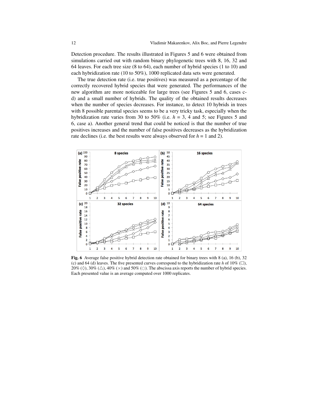Detection procedure. The results illustrated in Figures 5 and 6 were obtained from simulations carried out with random binary phylogenetic trees with 8, 16, 32 and 64 leaves. For each tree size (8 to 64), each number of hybrid species (1 to 10) and each hybridization rate (10 to 50%), 1000 replicated data sets were generated.

The true detection rate (i.e. true positives) was measured as a percentage of the correctly recovered hybrid species that were generated. The performances of the new algorithm are more noticeable for large trees (see Figures 5 and 6, cases cd) and a small number of hybrids. The quality of the obtained results decreases when the number of species decreases. For instance, to detect 10 hybrids in trees with 8 possible parental species seems to be a very tricky task, especially when the hybridization rate varies from 30 to 50% (i.e.  $h = 3$ , 4 and 5; see Figures 5 and 6, case a). Another general trend that could be noticed is that the number of true positives increases and the number of false positives decreases as the hybridization rate declines (i.e. the best results were always observed for  $h = 1$  and 2).



Fig. 6 Average false positive hybrid detection rate obtained for binary trees with 8 (a), 16 (b), 32 (c) and 64 (d) leaves. The five presented curves correspond to the hybridization rate *h* of 10%  $\Box$ ),  $20\%$  ( $\Diamond$ ),  $30\%$  ( $\triangle$ ),  $40\%$  ( $\times$ ) and  $50\%$  ( $\circ$ ). The abscissa axis reports the number of hybrid species. Each presented value is an average computed over 1000 replicates.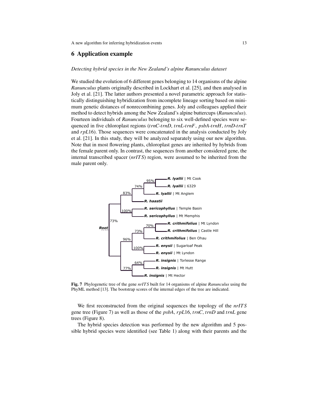## 6 Application example

### *Detecting hybrid species in the New Zealand's alpine Ranunculus dataset*

We studied the evolution of 6 different genes belonging to 14 organisms of the alpine *Ranunculus* plants originally described in Lockhart et al. [25], and then analysed in Joly et al. [21]. The latter authors presented a novel parametric approach for statistically distinguishing hybridization from incomplete lineage sorting based on minimum genetic distances of nonrecombining genes. Joly and colleagues applied their method to detect hybrids among the New Zealand's alpine buttercups (*Ranunculus*). Fourteen individuals of *Ranunculus* belonging to six well-defined species were sequenced in five chloroplast regions (*trnC*-*trnD*, *trnL*-*trnF*, *psbA*-*trnH*, *trnD*-*trnT* and *rpL*16). Those sequences were concatenated in the analysis conducted by Joly et al. [21]. In this study, they will be analyzed separately using our new algorithm. Note that in most flowering plants, chloroplast genes are inherited by hybrids from the female parent only. In contrast, the sequences from another considered gene, the internal transcribed spacer (*nrIT S*) region, were assumed to be inherited from the male parent only.



Fig. 7 Phylogenetic tree of the gene *nrIT S* built for 14 organisms of alpine *Ranunculus* using the PhyML method [13]. The bootstrap scores of the internal edges of the tree are indicated.

We first reconstructed from the original sequences the topology of the *nrIT S* gene tree (Figure 7) as well as those of the *psbA*, *rpL*16, *trnC*, *trnD* and *trnL* gene trees (Figure 8).

The hybrid species detection was performed by the new algorithm and 5 possible hybrid species were identified (see Table 1) along with their parents and the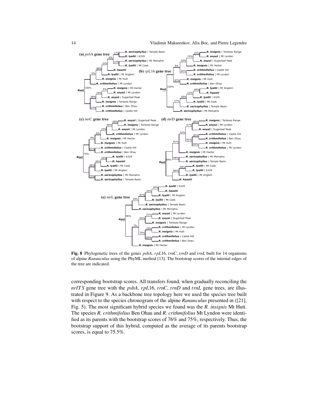

Fig. 8 Phylogenetic trees of the genes *psbA*, *rpL*16, *trnC*, *trnD* and *trnL* built for 14 organisms of alpine *Ranunculus* using the PhyML method [13]. The bootstrap scores of the internal edges of the tree are indicated.

corresponding bootstrap scores. All transfers found, when gradually reconciling the *nrIT S* gene tree with the *psbA*, *rpL*16, *trnC*, *trnD* and *trnL* gene trees, are illustrated in Figure 9. As a backbone tree topology here we used the species tree built with respect to the species chronogram of the alpine *Ranunculus* presented in ([21], Fig. 5). The most significant hybrid species we found was the *R. insignis* Mt Hutt. The species *R. crithmifolius* Ben Ohau and *R. crithmifolius* Mt Lyndon were identified as its parents with the bootstrap scores of 76% and 75%, respectively. Thus, the bootstrap support of this hybrid, computed as the average of its parents bootstrap scores, is equal to 75.5%.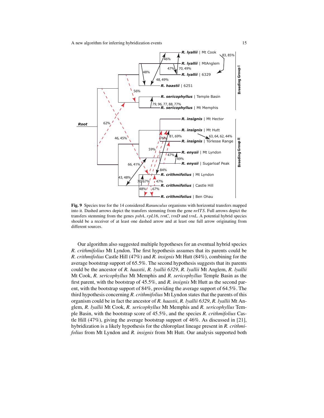A new algorithm for inferring hybridization events 15

![](_page_15_Figure_1.jpeg)

Fig. 9 Species tree for the 14 considered *Ranunculus* organisms with horizontal transfers mapped into it. Dashed arrows depict the transfers stemming from the gene *nrIT S*. Full arrows depict the transfers stemming from the genes *psbA*, *rpL*16, *trnC*, *trnD* and *trnL*. A potential hybrid species should be a receiver of at least one dashed arrow and at least one full arrow originating from different sources.

Our algorithm also suggested multiple hypotheses for an eventual hybrid species *R. crithmifolius* Mt Lyndon. The first hypothesis assumes that its parents could be *R. crithmifolius* Castle Hill (47%) and *R. insignis* Mt Hutt (84%), combining for the average bootstrap support of 65.5%. The second hypothesis suggests that its parents could be the ancestor of *R. haastii*, *R. lyallii 6329*, *R. lyallii* Mt Anglem, *R. lyallii* Mt Cook, *R. sericophyllus* Mt Memphis and *R. sericophyllus* Temple Basin as the first parent, with the bootstrap of 45.5%, and *R. insignis* Mt Hutt as the second parent, with the bootstrap support of 84%, providing the average support of 64.5%. The third hypothesis concerning *R. crithmifolius* Mt Lyndon states that the parents of this organism could be in fact the ancestor of *R. haastii*, *R. lyallii 6329*, *R. lyallii* Mt Anglem, *R. lyallii* Mt Cook, *R. sericophyllus* Mt Memphis and *R. sericophyllus* Temple Basin, with the bootstrap score of 45.5%, and the species *R. crithmifolius* Castle Hill (47%), giving the average bootstrap support of 46%. As discussed in [21], hybridization is a likely hypothesis for the chloroplast lineage present in *R. crithmifolius* from Mt Lyndon and *R. insignis* from Mt Hutt. Our analysis supported both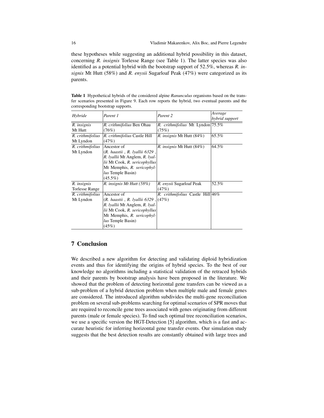these hypotheses while suggesting an additional hybrid possibility in this dataset, concerning *R. insignis* Torlesse Range (see Table 1). The latter species was also identified as a potential hybrid with the bootstrap support of 52.5%, whereas *R. insignis* Mt Hutt (58%) and *R. enysii* Sugarloaf Peak (47%) were categorized as its parents.

Table 1 Hypothetical hybrids of the considered alpine *Ranunculus* organisms based on the transfer scenarios presented in Figure 9. Each row reports the hybrid, two eventual parents and the corresponding bootstrap supports.

| Hybride               | Parent 1                                     | Parent 2                         | Average<br>hybrid support |
|-----------------------|----------------------------------------------|----------------------------------|---------------------------|
| R. insignis           | R. crithmifolius Ben Ohau                    | R. crithmifolius Mt Lyndon 75.5% |                           |
| Mt Hutt               | (76%)                                        | (75%)                            |                           |
| R. crithmifolius      | R. crithmifolius Castle Hill                 | <i>R. insignis</i> Mt Hutt (84%) | 65.5%                     |
| Mt Lyndon             | (47%)                                        |                                  |                           |
| R. crithmifolius      | Ancestor of                                  | R. insignis Mt Hutt (84%)        | 64.5%                     |
| Mt Lyndon             | (R. haastii, R. Iyallii 6329,                |                                  |                           |
|                       | R. <i>lyallii</i> Mt Anglem, R. <i>lyal-</i> |                                  |                           |
|                       | lii Mt Cook, R. sericophyllus                |                                  |                           |
|                       | Mt Memphis, R. sericophyl-                   |                                  |                           |
|                       | lus Temple Basin)                            |                                  |                           |
|                       | $(45.5\%)$                                   |                                  |                           |
| R. insignis           | R. insignis Mt Hutt (58%)                    | R. enysii Sugarloaf Peak         | 52.5%                     |
| <b>Torlesse Range</b> |                                              | (47%)                            |                           |
| R. crithmifolius      | Ancestor of                                  | R. crithmifolius Castle Hill 46% |                           |
| Mt Lyndon             | (47%), (47%), (R. haastii, R. lyallii 6329)  |                                  |                           |
|                       | R. <i>lyallii</i> Mt Anglem, R. <i>lyal-</i> |                                  |                           |
|                       | lii Mt Cook, R. sericophyllus                |                                  |                           |
|                       | Mt Memphis, R. sericophyl-                   |                                  |                           |
|                       | lus Temple Basin)                            |                                  |                           |
|                       | (45%)                                        |                                  |                           |

# 7 Conclusion

We described a new algorithm for detecting and validating diploid hybridization events and thus for identifying the origins of hybrid species. To the best of our knowledge no algorithms including a statistical validation of the retraced hybrids and their parents by bootstrap analysis have been proposed in the literature. We showed that the problem of detecting horizontal gene transfers can be viewed as a sub-problem of a hybrid detection problem when multiple male and female genes are considered. The introduced algorithm subdivides the multi-gene reconciliation problem on several sub-problems searching for optimal scenarios of SPR moves that are required to reconcile gene trees associated with genes originating from different parents (male or female species). To find such optimal tree reconciliation scenarios, we use a specific version the HGT-Detection [5] algorithm, which is a fast and accurate heuristic for inferring horizontal gene transfer events. Our simulation study suggests that the best detection results are constantly obtained with large trees and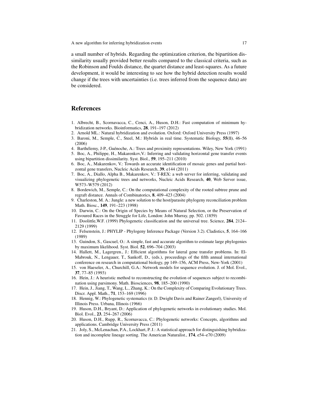A new algorithm for inferring hybridization events 17

a small number of hybrids. Regarding the optimization criterion, the bipartition dissimilarity usually provided better results compared to the classical criteria, such as the Robinson and Foulds distance, the quartet distance and least-squares. As a future development, it would be interesting to see how the hybrid detection results would change if the trees with uncertainties (i.e. trees inferred from the sequence data) are be considered.

### References

- 1. Albrecht, B., Scornavacca, C., Cenci, A., Huson, D.H.: Fast computation of minimum hybridization networks. Bioinformatics, 28, 191–197 (2012)
- 2. Arnold ML.: Natural hybridization and evolution. Oxford: Oxford University Press (1997)
- 3. Baroni, M., Semple, C., Steel, M.: Hybrids in real time. Systematic Biology, 55(1), 46–56 (2006)
- 4. Barthélemy, J-P., Guénoche, A.: Trees and proximity representations. Wiley, New York (1991)
- 5. Boc, A., Philippe, H., Makarenkov,V.: Inferring and validating horizontal gene transfer events using bipartition dissimilarity. Syst. Biol., 59, 195–211 (2010)
- 6. Boc, A., Makarenkov, V.: Towards an accurate identification of mosaic genes and partial horizontal gene transfers, Nucleic Acids Research, 39, e144 (2011)
- 7. Boc, A., Diallo, Alpha B., Makarenkov, V.: T-REX: a web server for inferring, validating and visualizing phylogenetic trees and networks, Nucleic Acids Research, 40, Web Server issue, W573–W579 (2012)
- 8. Bordewich, M., Semple, C.: On the computational complexity of the rooted subtree prune and regraft distance. Annals of Combinatorics, 8, 409–423 (2004)
- 9. Charleston, M. A.: Jungle: a new solution to the host/parasite phylogeny reconciliation problem Math. Biosc., 149, 191–223 (1998)
- 10. Darwin, C.: On the Origin of Species by Means of Natural Selection, or the Preservation of Favoured Races in the Struggle for Life, London: John Murray, pp. 502. (1859)
- 11. Doolittle,W.F. (1999) Phylogenetic classification and the universal tree. Science, 284, 2124– 2129 (1999)
- 12. Felsenstein, J.: PHYLIP Phylogeny Inference Package (Version 3.2). Cladistics, 5, 164–166 (1989)
- 13. Guindon, S., Gascuel, O.: A simple, fast and accurate algorithm to estimate large phylogenies by maximum likelihood. Syst. Biol. 52, 696–704 (2003)
- 14. Hallett, M., Lagergren., J.: Efficient algorithms for lateral gene transfer problems. In: El-Mabrouk, N., Lengauer, T., Sankoff, D., (eds.), proceedings of the fifth annual international conference on research in computational biology, pp 149–156, ACM Press, New-York (2001)
- 15. von Haeseler, A., Churchill, G.A.: Network models for sequence evolution. J. of Mol. Evol., 37, 77–85 (1993)
- 16. Hein, J.: A heuristic method to reconstructing the evolution of sequences subject to recombination using parsimony. Math. Biosciences, 98, 185–200 (1990)
- 17. Hein, J., Jiang, T., Wang, L., Zhang, K.: On the Complexity of Comparing Evolutionary Trees. Discr. Appl. Math., 71, 153–169 (1996)
- 18. Hennig, W.: Phylogenetic systematics (tr. D. Dwight Davis and Rainer Zangerl), University of Illinois Press. Urbana, Illinois (1966)
- 19. Huson, D.H., Bryant, D.: Application of phylogenetic networks in evolutionary studies. Mol. Biol. Evol., 23, 254–267 (2006)
- 20. Huson, D.H., Rupp, R., Scornavacca, C.: Phylogenetic networks: Concepts, algorithms and applications. Cambridge University Press (2011)
- 21. Joly, S., McLenachan, P.A., Lockhart, P. J.: A statistical approach for distinguishing hybridization and incomplete lineage sorting. The American Naturalist., 174, e54–e70 (2009)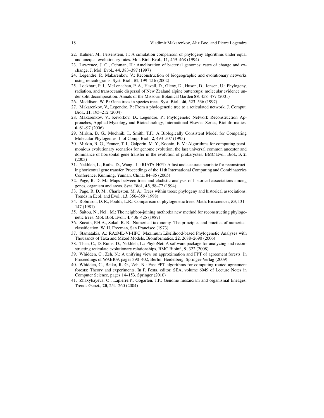- 22. Kuhner, M., Felsenstein, J.: A simulation comparison of phylogeny algorithms under equal and unequal evolutionary rates. Mol. Biol. Evol., 11, 459–468 (1994)
- 23. Lawrence, J. G., Ochman, H.: Amelioration of bacterial genomes: rates of change and exchange. J. Mol. Evol., 44, 383–397 (1997)
- 24. Legendre, P., Makarenkov, V.: Reconstruction of biogeographic and evolutionary networks using reticulograms. Syst. Biol., 51, 199–216 (2002)
- 25. Lockhart, P. J., McLenachan, P. A., Havell, D., Gleny, D., Huson, D., Jensen, U.: Phylogeny, radiation, and transoceanic dispersal of New Zealand alpine buttercups: molecular evidence under split decomposition. Annals of the Missouri Botanical Garden 88, 458–477 (2001)
- 26. Maddison, W. P.: Gene trees in species trees. Syst. Biol., 46, 523–536 (1997)
- 27. Makarenkov, V., Legendre, P.: From a phylogenetic tree to a reticulated network. J. Comput. Biol., 11, 195–212 (2004)
- 28. Makarenkov, V., Kevorkov, D., Legendre, P.: Phylogenetic Network Reconstruction Approaches, Applied Mycology and Biotechnology, International Elsevier Series, Bioinformatics, 6, 61–97 (2006)
- 29. Mirkin, B. G., Muchnik, I., Smith, T.F.: A Biologically Consistent Model for Comparing Molecular Phylogenies. J. of Comp. Biol., 2, 493–507 (1995)
- 30. Mirkin, B. G., Fenner, T. I., Galperin, M. Y., Koonin, E. V.: Algorithms for computing parsimonious evolutionary scenarios for genome evolution, the last universal common ancestor and dominance of horizontal gene transfer in the evolution of prokaryotes. BMC Evol. Biol., 3, 2, (2003)
- 31. Nakhleh, L., Ruths, D., Wang., L.: RIATA-HGT: A fast and accurate heuristic for reconstructing horizontal gene transfer. Proceedings of the 11th International Computing and Combinatorics Conference, Kunming, Yunnan, China, 84–85 (2005)
- 32. Page, R. D. M.: Maps between trees and cladistic analysis of historical associations among genes, organism and areas. Syst. Biol., 43, 58–77 (1994)
- 33. Page, R. D. M., Charleston, M. A.: Trees within trees: phylogeny and historical associations. Trends in Ecol. and Evol., 13, 356–359 (1998)
- 34. Robinson, D. R., Foulds, L.R.: Comparison of phylogenetic trees. Math. Biosciences, 53, 131– 147 (1981)
- 35. Saitou, N., Nei., M.: The neighbor-joining method:a new method for reconstructing phylogenetic trees. Mol. Biol. Evol., 4, 406–425 (1987)
- 36. Sneath, P.H.A., Sokal, R. R.: Numerical taxonomy The principles and practice of numerical classification. W. H. Freeman, San Francisco (1973)
- 37. Stamatakis, A.: RAxML-VI-HPC: Maximum Likelihood-based Phylogenetic Analyses with Thousands of Taxa and Mixed Models. Bioinformatics, 22, 2688–2690 (2006)
- 38. Than, C., D. Ruths, D., Nakhleh, L.: PhyloNet: A software package for analyzing and reconstructing reticulate evolutionary relationships, BMC Bioinf., 9, 322 (2008)
- 39. Whidden, C., Zeh, N.: A unifying view on approximation and FPT of agreement forests. In Proceedings of WABI09, pages 390–402, Berlin, Heidelberg. Springer-Verlag (2009)
- 40. Whidden, C., Beiko, R. G., Zeh, N.: Fast FPT algorithms for computing rooted agreement forests: Theory and experiments. In P. Festa, editor, SEA, volume 6049 of Lecture Notes in Computer Science, pages 14–153. Springer (2010)
- 41. Zhaxybayeva, O., Lapierre,P., Gogarten, J.P.: Genome mosaicism and organismal lineages. Trends Genet., 20, 254–260 (2004)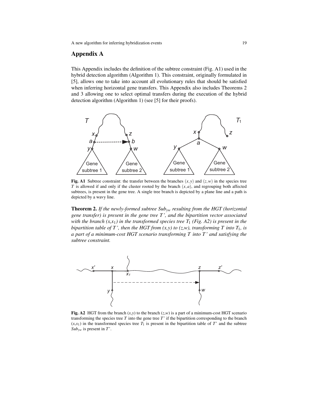### Appendix A

This Appendix includes the definition of the subtree constraint (Fig. A1) used in the hybrid detection algorithm (Algorithm 1). This constraint, originally formulated in [5], allows one to take into account all evolutionary rules that should be satisfied when inferring horizontal gene transfers. This Appendix also includes Theorems 2 and 3 allowing one to select optimal transfers during the execution of the hybrid detection algorithm (Algorithm 1) (see [5] for their proofs).

![](_page_19_Figure_3.jpeg)

Fig. A1 Subtree constraint: the transfer between the branches  $(x, y)$  and  $(z, w)$  in the species tree *T* is allowed if and only if the cluster rooted by the branch  $(x, a)$ , and regrouping both affected subtrees, is present in the gene tree. A single tree branch is depicted by a plane line and a path is depicted by a wavy line.

Theorem 2. *If the newly-formed subtree Subyw resulting from the HGT (horizontal gene transfer) is present in the gene tree T ', and the bipartition vector associated with the branch*  $(x, x_1)$  *in the transformed species tree*  $T_1$  *(Fig. A2) is present in the bipartition table of T', then the HGT from*  $(x, y)$  *to*  $(z, w)$ *, transforming T into T<sub>1</sub>, is a part of a minimum-cost HGT scenario transforming T into T ' and satisfying the subtree constraint.*

![](_page_19_Figure_6.jpeg)

Fig. A2 HGT from the branch  $(x, y)$  to the branch  $(z, w)$  is a part of a minimum-cost HGT scenario transforming the species tree *T* into the gene tree *T*' if the bipartition corresponding to the branch  $(x, x_1)$  in the transformed species tree  $T_1$  is present in the bipartition table of  $T'$  and the subtree *Subyw* is present in *T*'.